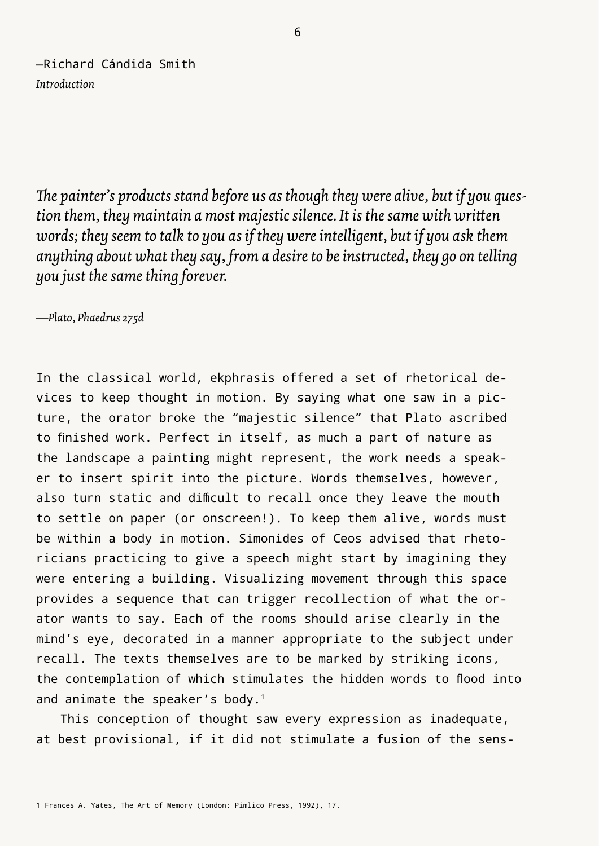—Richard Cándida Smith *Introduction*

*The painter's products stand before us as though they were alive, but if you question them, they maintain a most majestic silence. It is the same with written words; they seem to talk to you as if they were intelligent, but if you ask them anything about what they say, from a desire to be instructed, they go on telling you just the same thing forever.*

*—Plato, Phaedrus 275d*

In the classical world, ekphrasis offered a set of rhetorical devices to keep thought in motion. By saying what one saw in a picture, the orator broke the "majestic silence" that Plato ascribed to finished work. Perfect in itself, as much a part of nature as the landscape a painting might represent, the work needs a speaker to insert spirit into the picture. Words themselves, however, also turn static and difficult to recall once they leave the mouth to settle on paper (or onscreen!). To keep them alive, words must be within a body in motion. Simonides of Ceos advised that rhetoricians practicing to give a speech might start by imagining they were entering a building. Visualizing movement through this space provides a sequence that can trigger recollection of what the orator wants to say. Each of the rooms should arise clearly in the mind's eye, decorated in a manner appropriate to the subject under recall. The texts themselves are to be marked by striking icons, the contemplation of which stimulates the hidden words to flood into and animate the speaker's body.1

This conception of thought saw every expression as inadequate, at best provisional, if it did not stimulate a fusion of the sens-

6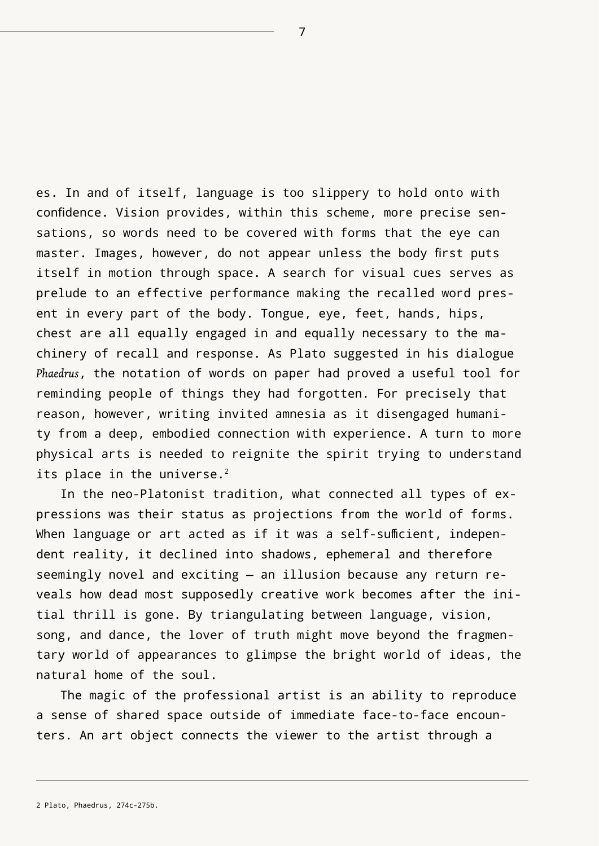es. In and of itself, language is too slippery to hold onto with confidence. Vision provides, within this scheme, more precise sensations, so words need to be covered with forms that the eye can master. Images, however, do not appear unless the body first puts itself in motion through space. A search for visual cues serves as prelude to an effective performance making the recalled word present in every part of the body. Tongue, eye, feet, hands, hips, chest are all equally engaged in and equally necessary to the machinery of recall and response. As Plato suggested in his dialogue *Phaedrus*, the notation of words on paper had proved a useful tool for reminding people of things they had forgotten. For precisely that reason, however, writing invited amnesia as it disengaged humanity from a deep, embodied connection with experience. A turn to more physical arts is needed to reignite the spirit trying to understand its place in the universe.<sup>2</sup>

In the neo-Platonist tradition, what connected all types of expressions was their status as projections from the world of forms. When language or art acted as if it was a self-sufficient, independent reality, it declined into shadows, ephemeral and therefore seemingly novel and exciting — an illusion because any return reveals how dead most supposedly creative work becomes after the initial thrill is gone. By triangulating between language, vision, song, and dance, the lover of truth might move beyond the fragmentary world of appearances to glimpse the bright world of ideas, the natural home of the soul.

The magic of the professional artist is an ability to reproduce a sense of shared space outside of immediate face-to-face encounters. An art object connects the viewer to the artist through a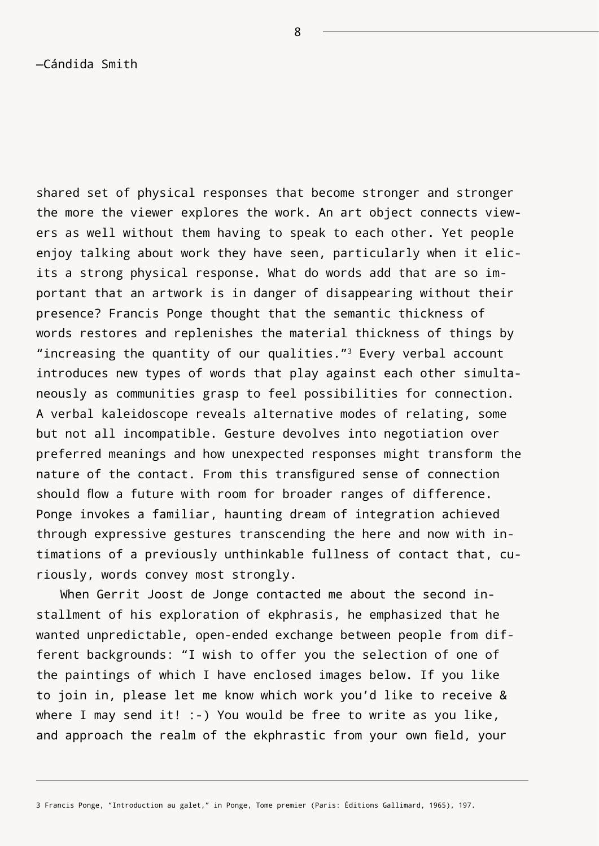—Cándida Smith

shared set of physical responses that become stronger and stronger the more the viewer explores the work. An art object connects viewers as well without them having to speak to each other. Yet people enjoy talking about work they have seen, particularly when it elicits a strong physical response. What do words add that are so important that an artwork is in danger of disappearing without their presence? Francis Ponge thought that the semantic thickness of words restores and replenishes the material thickness of things by "increasing the quantity of our qualities."<sup>3</sup> Every verbal account introduces new types of words that play against each other simultaneously as communities grasp to feel possibilities for connection. A verbal kaleidoscope reveals alternative modes of relating, some but not all incompatible. Gesture devolves into negotiation over preferred meanings and how unexpected responses might transform the nature of the contact. From this transfigured sense of connection should flow a future with room for broader ranges of difference. Ponge invokes a familiar, haunting dream of integration achieved through expressive gestures transcending the here and now with intimations of a previously unthinkable fullness of contact that, curiously, words convey most strongly.

When Gerrit Joost de Jonge contacted me about the second installment of his exploration of ekphrasis, he emphasized that he wanted unpredictable, open-ended exchange between people from different backgrounds: "I wish to offer you the selection of one of the paintings of which I have enclosed images below. If you like to join in, please let me know which work you'd like to receive & where I may send it!  $:-$ ) You would be free to write as you like, and approach the realm of the ekphrastic from your own field, your

8